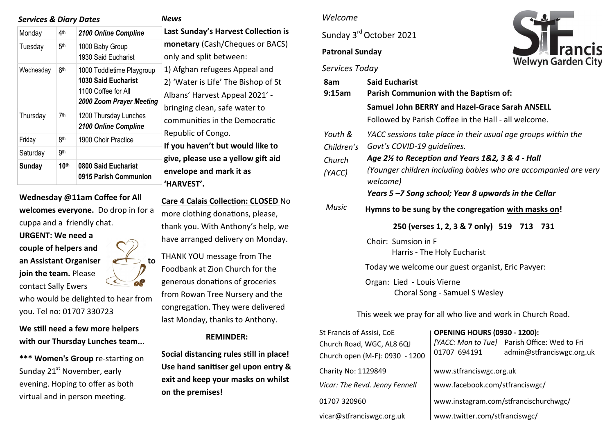### *Services & Diary Dates*

| 4 <sup>th</sup>  | 2100 Online Compline                                                                                       |
|------------------|------------------------------------------------------------------------------------------------------------|
| 5 <sup>th</sup>  | 1000 Baby Group<br>1930 Said Eucharist                                                                     |
| 6th              | 1000 Toddletime Playgroup<br><b>1030 Said Eucharist</b><br>1100 Coffee for All<br>2000 Zoom Prayer Meeting |
| 7th              | 1200 Thursday Lunches<br>2100 Online Compline                                                              |
| 8th              | 1900 Choir Practice                                                                                        |
| 9 <sub>th</sub>  |                                                                                                            |
| 10 <sup>th</sup> | 0800 Said Eucharist<br>0915 Parish Communion                                                               |
|                  |                                                                                                            |

**Wednesday @11am Coffee for All welcomes everyone.** Do drop in for a cuppa and a friendly chat.

**URGENT: We need a couple of helpers and**  an Assistant Organiser **the angle of the analysis** to **join the team.** Please contact Sally Ewers who would be delighted to hear from

you. Tel no: 01707 330723

**We still need a few more helpers with our Thursday Lunches team...**

**\*\*\* Women's Group** re-starting on Sunday 21<sup>st</sup> November, early evening. Hoping to offer as both virtual and in person meeting.

**Last Sunday's Harvest Collection is monetary** (Cash/Cheques or BACS) ly and split between: Afghan refugees Appeal and 'Water is Life' The Bishop of St ans' Harvest Appeal 2021' inging clean, safe water to mmunities in the Democratic public of Congo. **If you haven't but would like to give, please use a yellow gift aid envelope and mark it as 'HARVEST'.**

**Care 4 Calais Collection: CLOSED** No more clothing donations, please, thank you. With Anthony's help, we have arranged delivery on Monday.

THANK YOU message from The Foodbank at Zion Church for the generous donations of groceries from Rowan Tree Nursery and the congregation. They were delivered last Monday, thanks to Anthony.

#### **REMINDER:**

**Social distancing rules still in place! Use hand sanitiser gel upon entry & exit and keep your masks on whilst on the premises!** 

#### *Welcome*

Sunday 3<sup>rd</sup> October 2021

# **Patronal Sunday**





| 8am<br>$9:15$ am      | <b>Said Eucharist</b><br>Parish Communion with the Baptism of:<br>Samuel John BERRY and Hazel-Grace Sarah ANSELL |  |  |
|-----------------------|------------------------------------------------------------------------------------------------------------------|--|--|
|                       |                                                                                                                  |  |  |
|                       | Followed by Parish Coffee in the Hall - all welcome.                                                             |  |  |
| Youth &<br>Children's | YACC sessions take place in their usual age groups within the<br>Govt's COVID-19 quidelines.                     |  |  |
| Church                | Age 2½ to Reception and Years 1&2, 3 & 4 - Hall                                                                  |  |  |
| (YACC)                | (Younger children including babies who are accompanied are very<br>welcome)                                      |  |  |
|                       | Years 5-7 Song school; Year 8 upwards in the Cellar                                                              |  |  |
| Music                 | Hymns to be sung by the congregation with masks on!                                                              |  |  |
|                       | 250 (verses 1, 2, 3 & 7 only) 519 713 731                                                                        |  |  |
|                       | Choir: Sumsion in F<br>Harris - The Holy Eucharist                                                               |  |  |
|                       | Today we welcome our guest organist, Eric Pavyer:                                                                |  |  |
|                       | Organ: Lied - Louis Vierne<br>Choral Song - Samuel S Wesley                                                      |  |  |

This week we pray for all who live and work in Church Road.

| <b>OPENING HOURS (0930 - 1200):</b>   |                                              |  |
|---------------------------------------|----------------------------------------------|--|
|                                       | [YACC: Mon to Tue] Parish Office: Wed to Fri |  |
|                                       | admin@stfranciswgc.org.uk                    |  |
| www.stfranciswgc.org.uk               |                                              |  |
| www.facebook.com/stfranciswgc/        |                                              |  |
| www.instagram.com/stfrancischurchwgc/ |                                              |  |
| www.twitter.com/stfranciswgc/         |                                              |  |
|                                       | 01707 694191                                 |  |